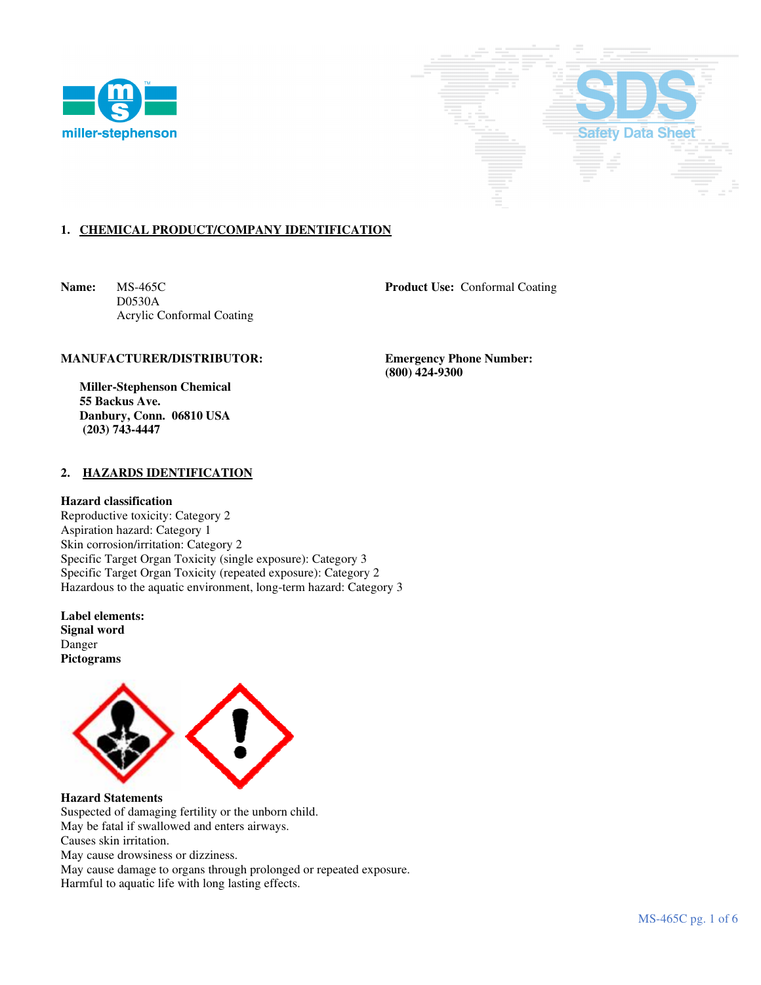



# **1. CHEMICAL PRODUCT/COMPANY IDENTIFICATION**

**Name:** MS-465C **Product Use:** Conformal Coating D0530A Acrylic Conformal Coating

## **MANUFACTURER/DISTRIBUTOR: Emergency Phone Number:**

 **Miller-Stephenson Chemical 55 Backus Ave. Danbury, Conn. 06810 USA (203) 743-4447** 

## **2. HAZARDS IDENTIFICATION**

### **Hazard classification**

Reproductive toxicity: Category 2 Aspiration hazard: Category 1 Skin corrosion/irritation: Category 2 Specific Target Organ Toxicity (single exposure): Category 3 Specific Target Organ Toxicity (repeated exposure): Category 2 Hazardous to the aquatic environment, long-term hazard: Category 3

**Label elements: Signal word**  Danger **Pictograms** 



**Hazard Statements**  Suspected of damaging fertility or the unborn child. May be fatal if swallowed and enters airways. Causes skin irritation. May cause drowsiness or dizziness. May cause damage to organs through prolonged or repeated exposure.

Harmful to aquatic life with long lasting effects.

 **(800) 424-9300**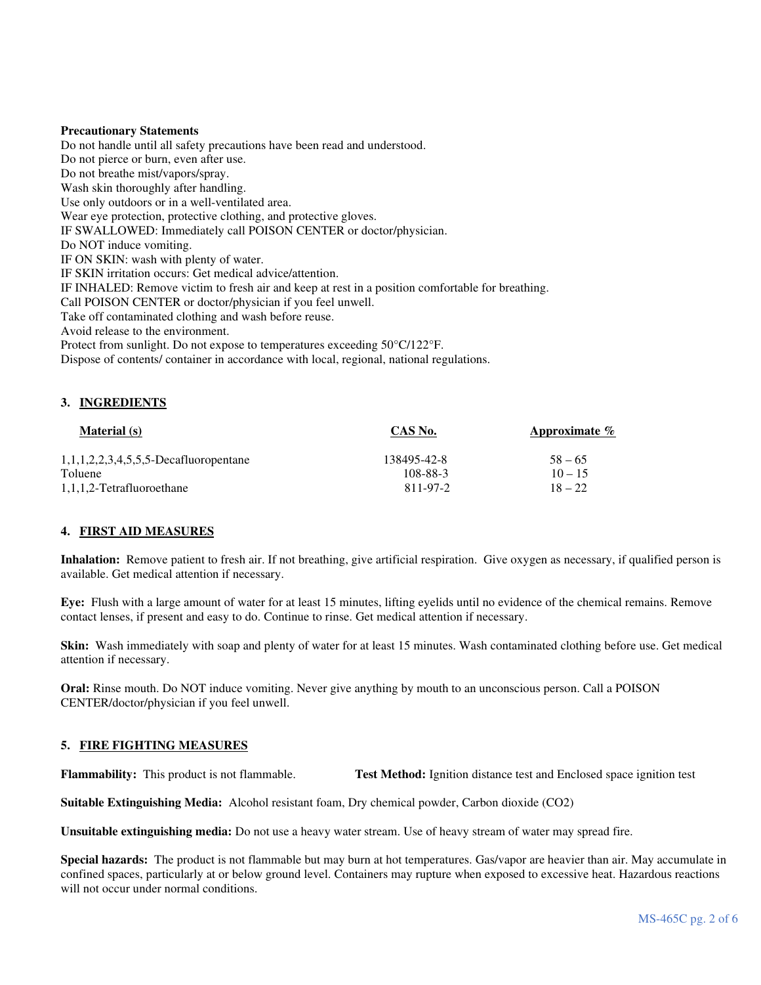## **Precautionary Statements**

Do not handle until all safety precautions have been read and understood. Do not pierce or burn, even after use. Do not breathe mist/vapors/spray. Wash skin thoroughly after handling. Use only outdoors or in a well-ventilated area. Wear eye protection, protective clothing, and protective gloves. IF SWALLOWED: Immediately call POISON CENTER or doctor/physician. Do NOT induce vomiting. IF ON SKIN: wash with plenty of water. IF SKIN irritation occurs: Get medical advice/attention. IF INHALED: Remove victim to fresh air and keep at rest in a position comfortable for breathing. Call POISON CENTER or doctor/physician if you feel unwell. Take off contaminated clothing and wash before reuse. Avoid release to the environment. Protect from sunlight. Do not expose to temperatures exceeding 50°C/122°F. Dispose of contents/ container in accordance with local, regional, national regulations.

# **3. INGREDIENTS**

| <b>Material</b> (s)                      | CAS No.     | Approximate $\%$ |
|------------------------------------------|-------------|------------------|
| $1,1,1,2,2,3,4,5,5,5$ -Decafluoropentane | 138495-42-8 | $58 - 65$        |
| Toluene                                  | 108-88-3    | $10 - 15$        |
| 1,1,1,2-Tetrafluoroethane                | 811-97-2    | $18 - 22$        |

# **4. FIRST AID MEASURES**

**Inhalation:** Remove patient to fresh air. If not breathing, give artificial respiration. Give oxygen as necessary, if qualified person is available. Get medical attention if necessary.

**Eye:** Flush with a large amount of water for at least 15 minutes, lifting eyelids until no evidence of the chemical remains. Remove contact lenses, if present and easy to do. Continue to rinse. Get medical attention if necessary.

**Skin:** Wash immediately with soap and plenty of water for at least 15 minutes. Wash contaminated clothing before use. Get medical attention if necessary.

**Oral:** Rinse mouth. Do NOT induce vomiting. Never give anything by mouth to an unconscious person. Call a POISON CENTER/doctor/physician if you feel unwell.

# **5. FIRE FIGHTING MEASURES**

**Flammability:** This product is not flammable. **Test Method:** Ignition distance test and Enclosed space ignition test

**Suitable Extinguishing Media:** Alcohol resistant foam, Dry chemical powder, Carbon dioxide (CO2)

**Unsuitable extinguishing media:** Do not use a heavy water stream. Use of heavy stream of water may spread fire.

**Special hazards:** The product is not flammable but may burn at hot temperatures. Gas/vapor are heavier than air. May accumulate in confined spaces, particularly at or below ground level. Containers may rupture when exposed to excessive heat. Hazardous reactions will not occur under normal conditions.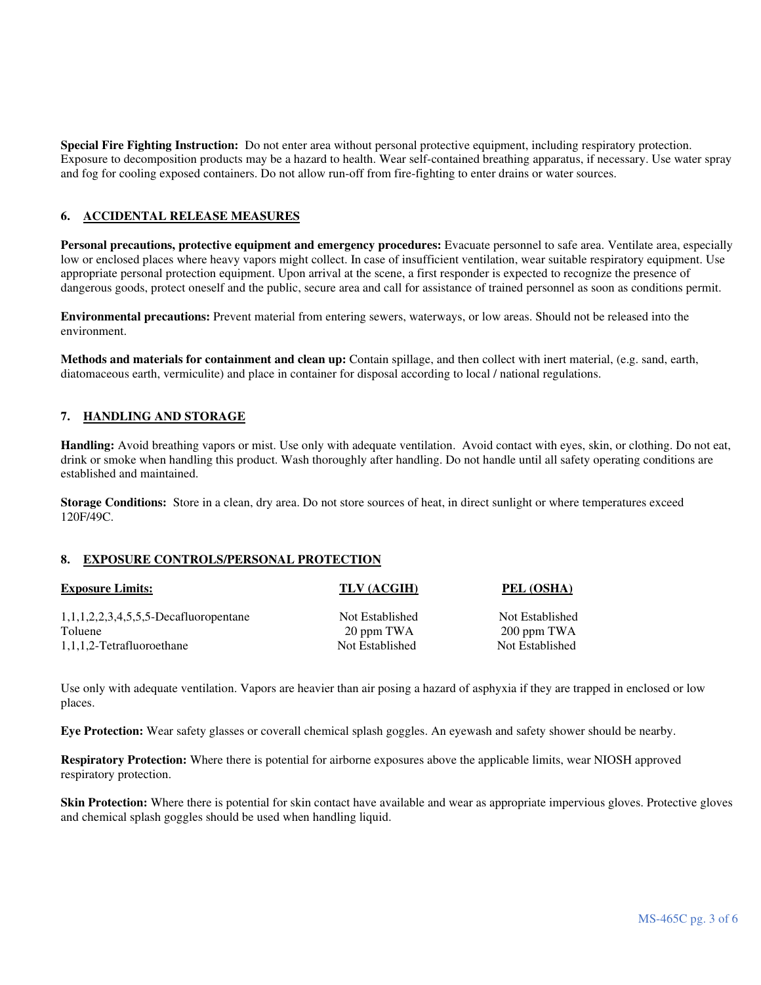**Special Fire Fighting Instruction:** Do not enter area without personal protective equipment, including respiratory protection. Exposure to decomposition products may be a hazard to health. Wear self-contained breathing apparatus, if necessary. Use water spray and fog for cooling exposed containers. Do not allow run-off from fire-fighting to enter drains or water sources.

# **6. ACCIDENTAL RELEASE MEASURES**

Personal precautions, protective equipment and emergency procedures: Evacuate personnel to safe area. Ventilate area, especially low or enclosed places where heavy vapors might collect. In case of insufficient ventilation, wear suitable respiratory equipment. Use appropriate personal protection equipment. Upon arrival at the scene, a first responder is expected to recognize the presence of dangerous goods, protect oneself and the public, secure area and call for assistance of trained personnel as soon as conditions permit.

**Environmental precautions:** Prevent material from entering sewers, waterways, or low areas. Should not be released into the environment.

**Methods and materials for containment and clean up:** Contain spillage, and then collect with inert material, (e.g. sand, earth, diatomaceous earth, vermiculite) and place in container for disposal according to local / national regulations.

# **7. HANDLING AND STORAGE**

**Handling:** Avoid breathing vapors or mist. Use only with adequate ventilation. Avoid contact with eyes, skin, or clothing. Do not eat, drink or smoke when handling this product. Wash thoroughly after handling. Do not handle until all safety operating conditions are established and maintained.

**Storage Conditions:** Store in a clean, dry area. Do not store sources of heat, in direct sunlight or where temperatures exceed 120F/49C.

## **8. EXPOSURE CONTROLS/PERSONAL PROTECTION**

| <b>Exposure Limits:</b>                             | TLV (ACGIH)                   | PEL (OSHA)                     |
|-----------------------------------------------------|-------------------------------|--------------------------------|
| $1,1,1,2,2,3,4,5,5,5$ -Decafluoropentane<br>Toluene | Not Established<br>20 ppm TWA | Not Established<br>200 ppm TWA |
| 1,1,1,2-Tetrafluoroethane                           | Not Established               | Not Established                |

Use only with adequate ventilation. Vapors are heavier than air posing a hazard of asphyxia if they are trapped in enclosed or low places.

**Eye Protection:** Wear safety glasses or coverall chemical splash goggles. An eyewash and safety shower should be nearby.

**Respiratory Protection:** Where there is potential for airborne exposures above the applicable limits, wear NIOSH approved respiratory protection.

**Skin Protection:** Where there is potential for skin contact have available and wear as appropriate impervious gloves. Protective gloves and chemical splash goggles should be used when handling liquid.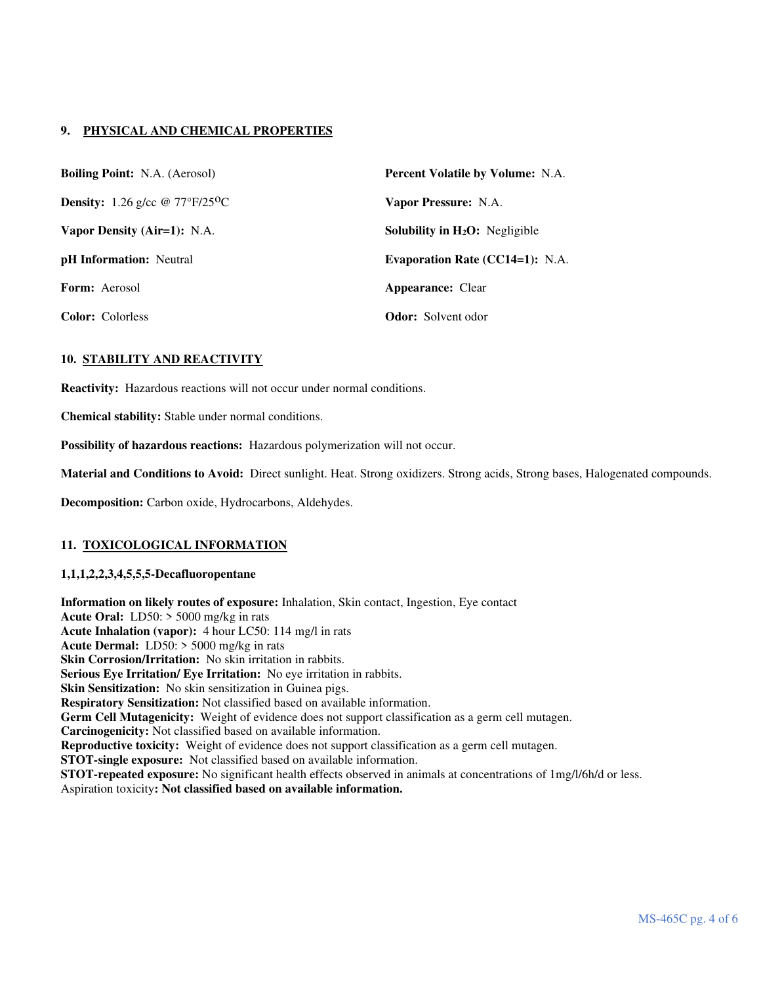# **9. PHYSICAL AND CHEMICAL PROPERTIES**

| <b>Boiling Point:</b> N.A. (Aerosol)                  | <b>Percent Volatile by Volume: N.A.</b>          |
|-------------------------------------------------------|--------------------------------------------------|
| <b>Density:</b> 1.26 g/cc $@ 77^{\circ}F/25^{\circ}C$ | Vapor Pressure: N.A.                             |
| Vapor Density (Air=1): N.A.                           | <b>Solubility in H<sub>2</sub>O</b> : Negligible |
| <b>pH</b> Information: Neutral                        | <b>Evaporation Rate (CC14=1): N.A.</b>           |
| <b>Form:</b> Aerosol                                  | <b>Appearance:</b> Clear                         |
| <b>Color:</b> Colorless                               | <b>Odor:</b> Solvent odor                        |

# **10. STABILITY AND REACTIVITY**

**Reactivity:** Hazardous reactions will not occur under normal conditions.

**Chemical stability:** Stable under normal conditions.

**Possibility of hazardous reactions:** Hazardous polymerization will not occur.

**Material and Conditions to Avoid:** Direct sunlight. Heat. Strong oxidizers. Strong acids, Strong bases, Halogenated compounds.

**Decomposition:** Carbon oxide, Hydrocarbons, Aldehydes.

## **11. TOXICOLOGICAL INFORMATION**

## **1,1,1,2,2,3,4,5,5,5-Decafluoropentane**

**Information on likely routes of exposure:** Inhalation, Skin contact, Ingestion, Eye contact **Acute Oral:** LD50: > 5000 mg/kg in rats **Acute Inhalation (vapor):** 4 hour LC50: 114 mg/l in rats **Acute Dermal:** LD50: > 5000 mg/kg in rats **Skin Corrosion/Irritation:** No skin irritation in rabbits. **Serious Eye Irritation/ Eye Irritation:** No eye irritation in rabbits. **Skin Sensitization:** No skin sensitization in Guinea pigs. **Respiratory Sensitization:** Not classified based on available information. **Germ Cell Mutagenicity:** Weight of evidence does not support classification as a germ cell mutagen. **Carcinogenicity:** Not classified based on available information. **Reproductive toxicity:** Weight of evidence does not support classification as a germ cell mutagen. **STOT-single exposure:** Not classified based on available information. **STOT-repeated exposure:** No significant health effects observed in animals at concentrations of 1mg/l/6h/d or less. Aspiration toxicity**: Not classified based on available information.**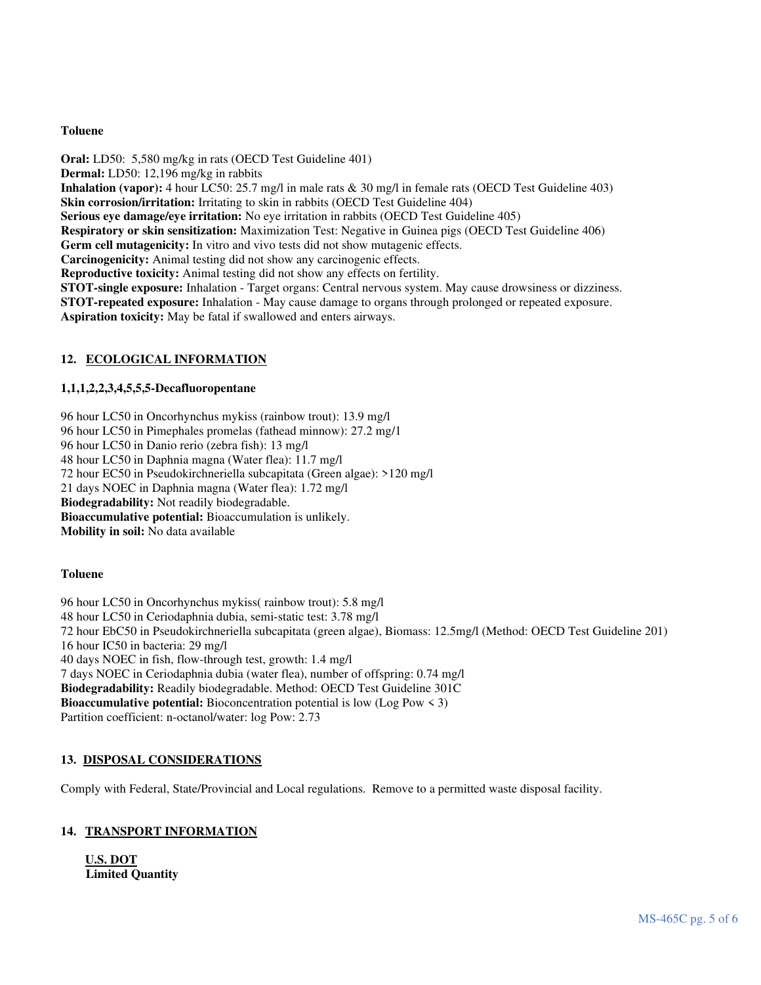# **Toluene**

**Oral:** LD50: 5,580 mg/kg in rats (OECD Test Guideline 401) **Dermal:** LD50: 12,196 mg/kg in rabbits **Inhalation (vapor):** 4 hour LC50: 25.7 mg/l in male rats & 30 mg/l in female rats (OECD Test Guideline 403) **Skin corrosion/irritation:** Irritating to skin in rabbits (OECD Test Guideline 404) **Serious eye damage/eye irritation:** No eye irritation in rabbits (OECD Test Guideline 405) **Respiratory or skin sensitization:** Maximization Test: Negative in Guinea pigs (OECD Test Guideline 406) **Germ cell mutagenicity:** In vitro and vivo tests did not show mutagenic effects. **Carcinogenicity:** Animal testing did not show any carcinogenic effects. **Reproductive toxicity:** Animal testing did not show any effects on fertility. **STOT-single exposure:** Inhalation - Target organs: Central nervous system. May cause drowsiness or dizziness. **STOT-repeated exposure:** Inhalation - May cause damage to organs through prolonged or repeated exposure. **Aspiration toxicity:** May be fatal if swallowed and enters airways.

# **12. ECOLOGICAL INFORMATION**

# **1,1,1,2,2,3,4,5,5,5-Decafluoropentane**

96 hour LC50 in Oncorhynchus mykiss (rainbow trout): 13.9 mg/l 96 hour LC50 in Pimephales promelas (fathead minnow): 27.2 mg/1

96 hour LC50 in Danio rerio (zebra fish): 13 mg/l

48 hour LC50 in Daphnia magna (Water flea): 11.7 mg/l

72 hour EC50 in Pseudokirchneriella subcapitata (Green algae): >120 mg/l

21 days NOEC in Daphnia magna (Water flea): 1.72 mg/l

**Biodegradability:** Not readily biodegradable.

**Bioaccumulative potential:** Bioaccumulation is unlikely.

**Mobility in soil:** No data available

# **Toluene**

96 hour LC50 in Oncorhynchus mykiss( rainbow trout): 5.8 mg/l 48 hour LC50 in Ceriodaphnia dubia, semi-static test: 3.78 mg/l 72 hour EbC50 in Pseudokirchneriella subcapitata (green algae), Biomass: 12.5mg/l (Method: OECD Test Guideline 201) 16 hour IC50 in bacteria: 29 mg/l 40 days NOEC in fish, flow-through test, growth: 1.4 mg/l 7 days NOEC in Ceriodaphnia dubia (water flea), number of offspring: 0.74 mg/l **Biodegradability:** Readily biodegradable. Method: OECD Test Guideline 301C **Bioaccumulative potential:** Bioconcentration potential is low (Log Pow < 3) Partition coefficient: n-octanol/water: log Pow: 2.73

# **13. DISPOSAL CONSIDERATIONS**

Comply with Federal, State/Provincial and Local regulations. Remove to a permitted waste disposal facility.

# **14. TRANSPORT INFORMATION**

**U.S. DOT Limited Quantity**